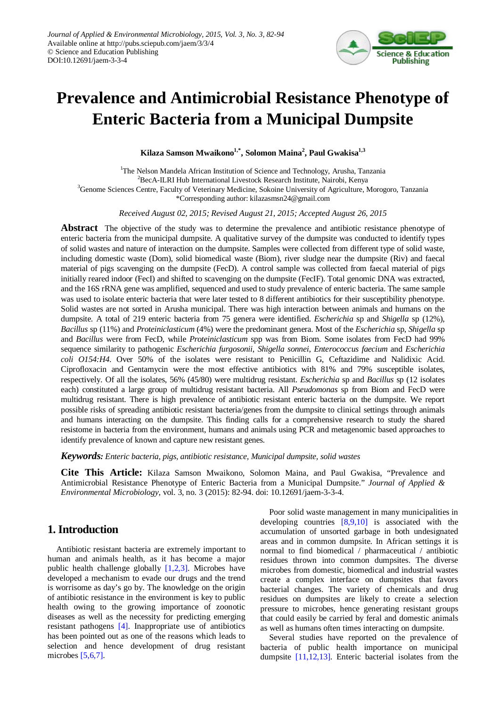

# **Prevalence and Antimicrobial Resistance Phenotype of Enteric Bacteria from a Municipal Dumpsite**

**Kilaza Samson Mwaikono1,\* , Solomon Maina2 , Paul Gwakisa1,3**

<sup>1</sup>The Nelson Mandela African Institution of Science and Technology, Arusha, Tanzania<br><sup>2</sup>BecA II PJ Hub International Livestock Pessaggh Institute Nairobi Kenya  ${}^{2}$ BecA-ILRI Hub International Livestock Research Institute, Nairobi, Kenya <sup>3</sup>Genome Sciences Centre, Faculty of Veterinary Medicine, Sokoine University of Agriculture, Morogoro, Tanzania \*Corresponding author: kilazasmsn24@gmail.com

*Received August 02, 2015; Revised August 21, 2015; Accepted August 26, 2015*

**Abstract** The objective of the study was to determine the prevalence and antibiotic resistance phenotype of enteric bacteria from the municipal dumpsite. A qualitative survey of the dumpsite was conducted to identify types of solid wastes and nature of interaction on the dumpsite. Samples were collected from different type of solid waste, including domestic waste (Dom), solid biomedical waste (Biom), river sludge near the dumpsite (Riv) and faecal material of pigs scavenging on the dumpsite (FecD). A control sample was collected from faecal material of pigs initially reared indoor (FecI) and shifted to scavenging on the dumpsite (FecIF). Total genomic DNA was extracted, and the 16S rRNA gene was amplified, sequenced and used to study prevalence of enteric bacteria. The same sample was used to isolate enteric bacteria that were later tested to 8 different antibiotics for their susceptibility phenotype. Solid wastes are not sorted in Arusha municipal. There was high interaction between animals and humans on the dumpsite. A total of 219 enteric bacteria from 75 genera were identified. *Escherichia* sp and *Shigella* sp (12%), *Bacillus* sp (11%) and *Proteiniclasticum* (4%) were the predominant genera. Most of the *Escherichia* sp, *Shigella* sp and *Bacillus* were from FecD, while *Proteiniclasticum* spp was from Biom. Some isolates from FecD had 99% sequence similarity to pathogenic *Escherichia furgosonii*, *Shigella sonnei*, *Enterococcus faecium* and *Escherichia coli O154:H4*. Over 50% of the isolates were resistant to Penicillin G, Ceftazidime and Nalidixic Acid. Ciprofloxacin and Gentamycin were the most effective antibiotics with 81% and 79% susceptible isolates, respectively. Of all the isolates, 56% (45/80) were multidrug resistant. *Escherichia* sp and *Bacillus* sp (12 isolates each) constituted a large group of multidrug resistant bacteria. All *Pseudomonas* sp from Biom and FecD were multidrug resistant. There is high prevalence of antibiotic resistant enteric bacteria on the dumpsite. We report possible risks of spreading antibiotic resistant bacteria/genes from the dumpsite to clinical settings through animals and humans interacting on the dumpsite. This finding calls for a comprehensive research to study the shared resistome in bacteria from the environment, humans and animals using PCR and metagenomic based approaches to identify prevalence of known and capture new resistant genes.

*Keywords: Enteric bacteria, pigs, antibiotic resistance, Municipal dumpsite, solid wastes*

**Cite This Article:** Kilaza Samson Mwaikono, Solomon Maina, and Paul Gwakisa, "Prevalence and Antimicrobial Resistance Phenotype of Enteric Bacteria from a Municipal Dumpsite." *Journal of Applied & Environmental Microbiology*, vol. 3, no. 3 (2015): 82-94. doi: 10.12691/jaem-3-3-4.

# **1. Introduction**

Antibiotic resistant bacteria are extremely important to human and animals health, as it has become a major public health challenge globally  $[1,2,3]$ . Microbes have developed a mechanism to evade our drugs and the trend is worrisome as day's go by. The knowledge on the origin of antibiotic resistance in the environment is key to public health owing to the growing importance of zoonotic diseases as well as the necessity for predicting emerging resistant pathogens [\[4\].](#page-6-0) Inappropriate use of antibiotics has been pointed out as one of the reasons which leads to selection and hence development of drug resistant microbes [\[5,6,7\].](#page-6-1)

Poor solid waste management in many municipalities in developing countries [\[8,9,10\]](#page-6-2) is associated with the accumulation of unsorted garbage in both undesignated areas and in common dumpsite. In African settings it is normal to find biomedical / pharmaceutical / antibiotic residues thrown into common dumpsites. The diverse microbes from domestic, biomedical and industrial wastes create a complex interface on dumpsites that favors bacterial changes. The variety of chemicals and drug residues on dumpsites are likely to create a selection pressure to microbes, hence generating resistant groups that could easily be carried by feral and domestic animals as well as humans often times interacting on dumpsite.

Several studies have reported on the prevalence of bacteria of public health importance on municipal dumpsite [\[11,12,13\].](#page-6-3) Enteric bacterial isolates from the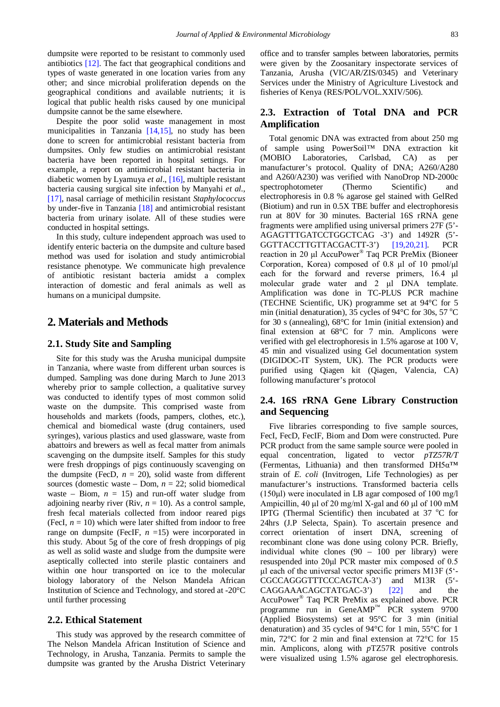dumpsite were reported to be resistant to commonly used antibiotics [\[12\].](#page-6-4) The fact that geographical conditions and types of waste generated in one location varies from any other; and since microbial proliferation depends on the geographical conditions and available nutrients; it is logical that public health risks caused by one municipal dumpsite cannot be the same elsewhere.

Despite the poor solid waste management in most municipalities in Tanzania [\[14,15\],](#page-6-5) no study has been done to screen for antimicrobial resistant bacteria from dumpsites. Only few studies on antimicrobial resistant bacteria have been reported in hospital settings. For example, a report on antimicrobial resistant bacteria in diabetic women by Lyamuya *et al*., [\[16\],](#page-6-6) multiple resistant bacteria causing surgical site infection by Manyahi *et al.,* [\[17\],](#page-6-7) nasal carriage of methicilin resistant *Staphylococcus*  by under-five in Tanzania [\[18\]](#page-6-8) and antimicrobial resistant bacteria from urinary isolate. All of these studies were conducted in hospital settings.

In this study, culture independent approach was used to identify enteric bacteria on the dumpsite and culture based method was used for isolation and study antimicrobial resistance phenotype. We communicate high prevalence of antibiotic resistant bacteria amidst a complex interaction of domestic and feral animals as well as humans on a municipal dumpsite.

## **2. Materials and Methods**

#### **2.1. Study Site and Sampling**

Site for this study was the Arusha municipal dumpsite in Tanzania, where waste from different urban sources is dumped. Sampling was done during March to June 2013 whereby prior to sample collection, a qualitative survey was conducted to identify types of most common solid waste on the dumpsite. This comprised waste from households and markets (foods, pampers, clothes, etc.), chemical and biomedical waste (drug containers, used syringes), various plastics and used glassware, waste from abattoirs and brewers as well as fecal matter from animals scavenging on the dumpsite itself. Samples for this study were fresh droppings of pigs continuously scavenging on the dumpsite (FecD,  $n = 20$ ), solid waste from different sources (domestic waste – Dom, *n* = 22; solid biomedical waste – Biom,  $n = 15$ ) and run-off water sludge from adjoining nearby river (Riv,  $n = 10$ ). As a control sample, fresh fecal materials collected from indoor reared pigs (FecI,  $n = 10$ ) which were later shifted from indoor to free range on dumpsite (FecIF,  $n = 15$ ) were incorporated in this study. About 5g of the core of fresh droppings of pig as well as solid waste and sludge from the dumpsite were aseptically collected into sterile plastic containers and within one hour transported on ice to the molecular biology laboratory of the Nelson Mandela African Institution of Science and Technology, and stored at -20°C until further processing

#### **2.2. Ethical Statement**

This study was approved by the research committee of The Nelson Mandela African Institution of Science and Technology, in Arusha, Tanzania. Permits to sample the dumpsite was granted by the Arusha District Veterinary

office and to transfer samples between laboratories, permits were given by the Zoosanitary inspectorate services of Tanzania, Arusha (VIC/AR/ZIS/0345) and Veterinary Services under the Ministry of Agriculture Livestock and fisheries of Kenya (RES/POL/VOL.XXIV/506).

#### **2.3. Extraction of Total DNA and PCR Amplification**

Total genomic DNA was extracted from about 250 mg of sample using PowerSoil™ DNA extraction kit (MOBIO Laboratories, Carlsbad, CA) as per manufacturer's protocol. Quality of DNA; A260/A280 and A260/A230) was verified with NanoDrop ND-2000c spectrophotometer (Thermo Scientific) and electrophoresis in 0.8 % agarose gel stained with GelRed (Biotium) and run in 0.5X TBE buffer and electrophoresis run at 80V for 30 minutes. Bacterial 16S rRNA gene fragments were amplified using universal primers 27F (5'- AGAGTTTGATCCTGGCTCAG -3') and 1492R (5'- GGTTACCTTGTTACGACTT-3') [\[19,20,21\].](#page-6-9) PCR reaction in 20 μl AccuPower® Taq PCR PreMix (Bioneer Corporation, Korea) composed of 0.8 μl of 10 pmol/μl each for the forward and reverse primers, 16.4 μl molecular grade water and 2 μl DNA template. Amplification was done in TC-PLUS PCR machine (TECHNE Scientific, UK) programme set at 94°C for 5 min (initial denaturation), 35 cycles of 94 $\rm ^{o}C$  for 30s, 57  $\rm ^{o}C$ for 30 s (annealing), 68°C for 1min (initial extension) and final extension at 68°C for 7 min. Amplicons were verified with gel electrophoresis in 1.5% agarose at 100 V, 45 min and visualized using Gel documentation system (DIGIDOC-IT System, UK). The PCR products were purified using Qiagen kit (Qiagen, Valencia, CA) following manufacturer's protocol

#### **2.4. 16S rRNA Gene Library Construction and Sequencing**

Five libraries corresponding to five sample sources, FecI, FecD, FecIF, Biom and Dom were constructed. Pure PCR product from the same sample source were pooled in equal concentration, ligated to vector *pTZ57R/T* (Fermentas, Lithuania) and then transformed DH5α™ strain of *E. coli* (Invitrogen, Life Technologies) as per manufacturer's instructions. Transformed bacteria cells (150μl) were inoculated in LB agar composed of 100 mg/l Ampicillin, 40 μl of 20 mg/ml X-gal and 60 μl of 100 mM IPTG (Thermal Scientific) then incubated at  $37 \text{ °C}$  for 24hrs (J.P Selecta, Spain). To ascertain presence and correct orientation of insert DNA, screening of recombinant clone was done using colony PCR. Briefly, individual white clones (90 – 100 per library) were resuspended into 20μl PCR master mix composed of 0.5 μl each of the universal vector specific primers M13F (5'- CGCCAGGGTTTCCCAGTCA-3') and M13R (5'- CAGGAAACAGCTATGAC-3') [\[22\]](#page-6-10) and the AccuPower® Taq PCR PreMix as explained above. PCR programme run in GeneAMP™ PCR system 9700 (Applied Biosystems) set at 95°C for 3 min (initial denaturation) and 35 cycles of 94°C for 1 min, 55°C for 1 min, 72°C for 2 min and final extension at 72°C for 15 min. Amplicons, along with *p*TZ57R positive controls were visualized using 1.5% agarose gel electrophoresis.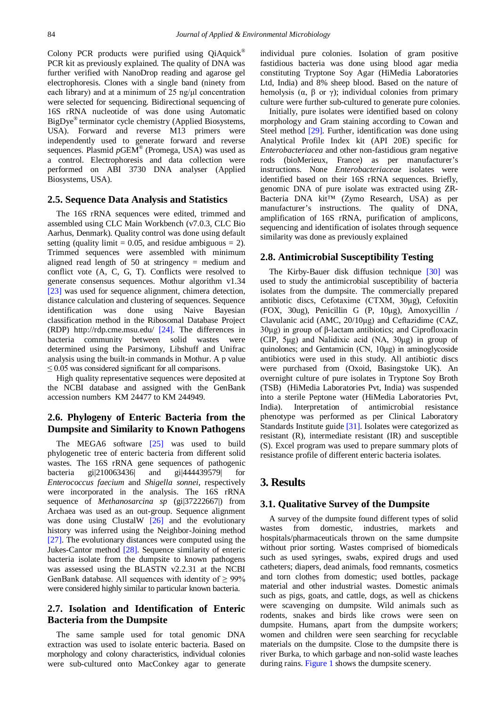Colony PCR products were purified using QiAquick<sup>®</sup> PCR kit as previously explained. The quality of DNA was further verified with NanoDrop reading and agarose gel electrophoresis. Clones with a single band (ninety from each library) and at a minimum of 25 ng/μl concentration were selected for sequencing. Bidirectional sequencing of 16S rRNA nucleotide of was done using Automatic BigDye® terminator cycle chemistry (Applied Biosystems, USA). Forward and reverse M13 primers were independently used to generate forward and reverse sequences. Plasmid *p*GEM® (Promega, USA) was used as a control. Electrophoresis and data collection were performed on ABI 3730 DNA analyser (Applied Biosystems, USA).

#### **2.5. Sequence Data Analysis and Statistics**

The 16S rRNA sequences were edited, trimmed and assembled using CLC Main Workbench (v7.0.3, CLC Bio Aarhus, Denmark). Quality control was done using default setting (quality limit  $= 0.05$ , and residue ambiguous  $= 2$ ). Trimmed sequences were assembled with minimum aligned read length of 50 at stringency = medium and conflict vote (A, C, G, T). Conflicts were resolved to generate consensus sequences. Mothur algorithm v1.34 [\[23\]](#page-6-11) was used for sequence alignment, chimera detection, distance calculation and clustering of sequences. Sequence identification was done using Naive Bayesian classification method in the Ribosomal Database Project (RDP) http://rdp.cme.msu.edu/ [\[24\].](#page-6-12) The differences in bacteria community between solid wastes were determined using the Parsimony, Libshuff and Unifrac analysis using the built-in commands in Mothur. A p value  $\leq$  0.05 was considered significant for all comparisons.

High quality representative sequences were deposited at the NCBI database and assigned with the GenBank accession numbers KM 24477 to KM 244949.

# **2.6. Phylogeny of Enteric Bacteria from the Dumpsite and Similarity to Known Pathogens**

The MEGA6 software [\[25\]](#page-6-13) was used to build phylogenetic tree of enteric bacteria from different solid wastes. The 16S rRNA gene sequences of pathogenic bacteria gi|210063436| and gi|444439579| for *Enterococcus faecium* and *Shigella sonnei*, respectively were incorporated in the analysis. The 16S rRNA sequence of *Methanosarcina sp* (gi|37222667|) from Archaea was used as an out-group. Sequence alignment was done using ClustalW [\[26\]](#page-6-14) and the evolutionary history was inferred using the Neighbor-Joining method [\[27\].](#page-6-15) The evolutionary distances were computed using the Jukes-Cantor method [\[28\].](#page-6-16) Sequence similarity of enteric bacteria isolate from the dumpsite to known pathogens was assessed using the BLASTN v2.2.31 at the NCBI GenBank database. All sequences with identity of  $\geq 99\%$ were considered highly similar to particular known bacteria.

#### **2.7. Isolation and Identification of Enteric Bacteria from the Dumpsite**

The same sample used for total genomic DNA extraction was used to isolate enteric bacteria. Based on morphology and colony characteristics, individual colonies were sub-cultured onto MacConkey agar to generate individual pure colonies. Isolation of gram positive fastidious bacteria was done using blood agar media constituting Tryptone Soy Agar (HiMedia Laboratories Ltd, India) and 8% sheep blood. Based on the nature of hemolysis ( $\alpha$ ,  $\beta$  or  $\gamma$ ); individual colonies from primary culture were further sub-cultured to generate pure colonies.

Initially, pure isolates were identified based on colony morphology and Gram staining according to Cowan and Steel method [\[29\].](#page-6-17) Further, identification was done using Analytical Profile Index kit (API 20E) specific for *Enterobacteriacea* and other non-fastidious gram negative rods (bioMerieux, France) as per manufacturer's instructions. None *Enterobacteriaceae* isolates were identified based on their 16S rRNA sequences. Briefly, genomic DNA of pure isolate was extracted using ZR-Bacteria DNA kit™ (Zymo Research, USA) as per manufacturer's instructions. The quality of DNA, amplification of 16S rRNA, purification of amplicons, sequencing and identification of isolates through sequence similarity was done as previously explained

#### **2.8. Antimicrobial Susceptibility Testing**

The Kirby-Bauer disk diffusion technique [\[30\]](#page-6-18) was used to study the antimicrobial susceptibility of bacteria isolates from the dumpsite. The commercially prepared antibiotic discs, Cefotaxime (CTXM, 30μg), Cefoxitin (FOX, 30ug), Penicillin G (P, 10μg), Amoxycillin / Clavulanic acid (AMC, 20/10μg) and Ceftazidime (CAZ, 30μg) in group of β-lactam antibiotics; and Ciprofloxacin (CIP, 5μg) and Nalidixic acid (NA, 30μg) in group of quinolones; and Gentamicin (CN, 10μg) in aminoglycoside antibiotics were used in this study. All antibiotic discs were purchased from (Oxoid, Basingstoke UK). An overnight culture of pure isolates in Tryptone Soy Broth (TSB) (HiMedia Laboratories Pvt, India) was suspended into a sterile Peptone water (HiMedia Laboratories Pvt, India). Interpretation of antimicrobial resistance phenotype was performed as per Clinical Laboratory Standards Institute guide [\[31\].](#page-6-19) Isolates were categorized as resistant (R), intermediate resistant (IR) and susceptible (S). Excel program was used to prepare summary plots of resistance profile of different enteric bacteria isolates.

## **3. Results**

#### **3.1. Qualitative Survey of the Dumpsite**

A survey of the dumpsite found different types of solid wastes from domestic, industries, markets and hospitals/pharmaceuticals thrown on the same dumpsite without prior sorting. Wastes comprised of biomedicals such as used syringes, swabs, expired drugs and used catheters; diapers, dead animals, food remnants, cosmetics and torn clothes from domestic; used bottles, package material and other industrial wastes. Domestic animals such as pigs, goats, and cattle, dogs, as well as chickens were scavenging on dumpsite. Wild animals such as rodents, snakes and birds like crows were seen on dumpsite. Humans, apart from the dumpsite workers; women and children were seen searching for recyclable materials on the dumpsite. Close to the dumpsite there is river Burka, to which garbage and non-solid waste leaches during rains. [Figure 1](#page-3-0) shows the dumpsite scenery.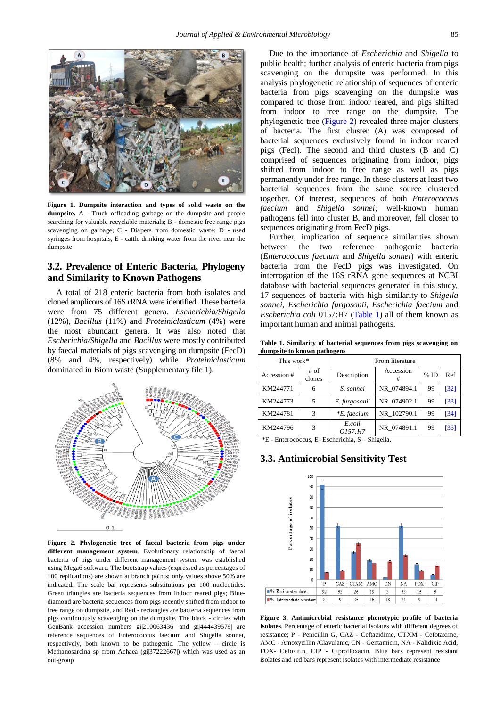<span id="page-3-0"></span>

**Figure 1. Dumpsite interaction and types of solid waste on the dumpsite.** A - Truck offloading garbage on the dumpsite and people searching for valuable recyclable materials; B - domestic free range pigs scavenging on garbage; C - Diapers from domestic waste; D - used syringes from hospitals; E - cattle drinking water from the river near the dumpsite

## **3.2. Prevalence of Enteric Bacteria, Phylogeny and Similarity to Known Pathogens**

A total of 218 enteric bacteria from both isolates and cloned amplicons of 16S rRNA were identified. These bacteria were from 75 different genera. *Escherichia/Shigella* (12%), *Bacillus* (11%) and *Proteiniclasticum* (4%) were the most abundant genera. It was also noted that *Escherichia/Shigella* and *Bacillus* were mostly contributed by faecal materials of pigs scavenging on dumpsite (FecD) (8% and 4%, respectively) while *Proteiniclasticum* dominated in Biom waste (Supplementary file 1).

<span id="page-3-1"></span>

**Figure 2. Phylogenetic tree of faecal bacteria from pigs under different management system**. Evolutionary relationship of faecal bacteria of pigs under different management system was established using Mega6 software. The bootstrap values (expressed as percentages of 100 replications) are shown at branch points; only values above 50% are indicated. The scale bar represents substitutions per 100 nucleotides. Green triangles are bacteria sequences from indoor reared pigs; Bluediamond are bacteria sequences from pigs recently shifted from indoor to free range on dumpsite, and Red - rectangles are bacteria sequences from pigs continuously scavenging on the dumpsite. The black - circles with GenBank accession numbers gi|210063436| and gi|444439579| are reference sequences of Enterococcus faecium and Shigella sonnei, respectively, both known to be pathogenic. The yellow – circle is Methanosarcina sp from Achaea (gi|37222667|) which was used as an out-group

Due to the importance of *Escherichia* and *Shigella* to public health; further analysis of enteric bacteria from pigs scavenging on the dumpsite was performed. In this analysis phylogenetic relationship of sequences of enteric bacteria from pigs scavenging on the dumpsite was compared to those from indoor reared, and pigs shifted from indoor to free range on the dumpsite. The phylogenetic tree [\(Figure 2\)](#page-3-1) revealed three major clusters of bacteria. The first cluster (A) was composed of bacterial sequences exclusively found in indoor reared pigs (FecI). The second and third clusters (B and C) comprised of sequences originating from indoor, pigs shifted from indoor to free range as well as pigs permanently under free range. In these clusters at least two bacterial sequences from the same source clustered together. Of interest, sequences of both *Enterococcus faecium* and *Shigella sonnei;* well-known human pathogens fell into cluster B, and moreover, fell closer to sequences originating from FecD pigs.

Further, implication of sequence similarities shown between the two reference pathogenic bacteria (*Enterococcus faecium* and *Shigella sonnei*) with enteric bacteria from the FecD pigs was investigated. On interrogation of the 16S rRNA gene sequences at NCBI database with bacterial sequences generated in this study, 17 sequences of bacteria with high similarity to *Shigella sonnei*, *Escherichia furgosonii*, *Escherichia faecium* and *Escherichia coli* 0157:H7 [\(Table 1\)](#page-3-2) all of them known as important human and animal pathogens.

**Table 1. Similarity of bacterial sequences from pigs scavenging on dumpsite to known pathogens**

<span id="page-3-2"></span>

| This work*  |                | From literature   |             |        |      |
|-------------|----------------|-------------------|-------------|--------|------|
| Accession # | # of<br>clones | Description       | Accession   | $%$ ID | Ref  |
| KM244771    | 6              | S. sonnei         | NR 074894.1 | 99     | [32] |
| KM244773    | 5              | E. furgosonii     | NR 074902.1 | 99     | [33] |
| KM244781    | 3              | *E. faecium       | NR 102790.1 | 99     | [34] |
| KM244796    | 3              | E.coli<br>O157:H7 | NR 074891.1 | 99     | [35] |

\*E - Enterococcus, E- Escherichia, S – Shigella.

#### **3.3. Antimicrobial Sensitivity Test**

<span id="page-3-3"></span>

**Figure 3. Antimicrobial resistance phenotypic profile of bacteria isolates**. Percentage of enteric bacterial isolates with different degrees of resistance; P - Penicillin G, CAZ - Ceftazidime, CTXM - Cefotaxime, AMC - Amoxycillin /Clavulanic, CN - Gentamicin, NA - Nalidixic Acid, FOX- Cefoxitin, CIP - Ciprofloxacin. Blue bars represent resistant isolates and red bars represent isolates with intermediate resistance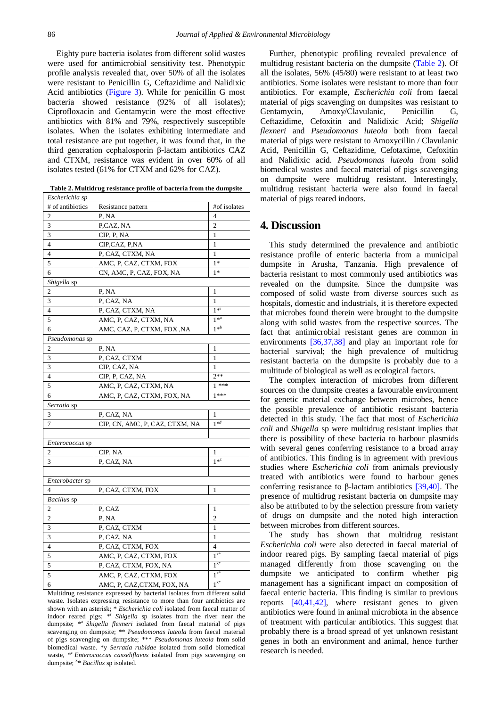Eighty pure bacteria isolates from different solid wastes were used for antimicrobial sensitivity test. Phenotypic profile analysis revealed that, over 50% of all the isolates were resistant to Penicillin G, Ceftazidime and Nalidixic Acid antibiotics [\(Figure 3\)](#page-3-3). While for penicillin G most bacteria showed resistance (92% of all isolates); Ciprofloxacin and Gentamycin were the most effective antibiotics with 81% and 79%, respectively susceptible isolates. When the isolates exhibiting intermediate and total resistance are put together, it was found that, in the third generation cephalosporin β-lactam antibiotics CAZ and CTXM, resistance was evident in over 60% of all isolates tested (61% for CTXM and 62% for CAZ).

**Table 2. Multidrug resistance profile of bacteria from the dumpsite**

<span id="page-4-0"></span>

| Escherichia sp           |                                |                |
|--------------------------|--------------------------------|----------------|
| # of antibiotics         | Resistance pattern             | #of isolates   |
| 2                        | P, NA                          | 4              |
| 3                        | P,CAZ, NA                      | $\mathbf{2}$   |
| 3                        | CIP, P, NA                     | 1              |
| $\overline{4}$           | CIP,CAZ, P,NA                  | 1              |
| $\overline{4}$           | P, CAZ, CTXM, NA               | 1              |
| 5                        | AMC, P, CAZ, CTXM, FOX         | $1*$           |
| 6                        | CN, AMC, P, CAZ, FOX, NA       | $1*$           |
| Shigella sp              |                                |                |
| 2                        | P, NA                          | 1              |
| 3                        | P, CAZ, NA                     | 1              |
| $\overline{4}$           | P, CAZ, CTXM, NA               | $1 * r$        |
| 5                        | AMC, P, CAZ, CTXM, NA          | $1*^a$         |
| 6                        | AMC, CAZ, P, CTXM, FOX ,NA     | $1*^b$         |
| Pseudomonas sp           |                                |                |
| 2                        | P, NA                          | 1              |
| 3                        | P, CAZ, CTXM                   | 1              |
| 3                        | CIP, CAZ, NA                   | 1              |
| $\overline{4}$           | CIP, P, CAZ, NA                | $2**$          |
| 5                        | AMC, P, CAZ, CTXM, NA          | $1***$         |
| 6                        | AMC, P, CAZ, CTXM, FOX, NA     | $1***$         |
| <i>Serratia</i> sp       |                                |                |
| 3                        | P, CAZ, NA                     | 1              |
| 7                        | CIP, CN, AMC, P, CAZ, CTXM, NA | $1*$           |
|                          |                                |                |
| <i>Enterococcus</i> sp   |                                |                |
| 2                        | CIP, NA                        | 1              |
| 3                        | P, CAZ, NA                     | $1^{*^z}$      |
|                          |                                |                |
| <i>Enterobacter</i> sp   |                                |                |
| $\overline{\mathcal{L}}$ | P, CAZ, CTXM, FOX              | 1              |
| Bacillus sp              |                                |                |
| $\mathbf{2}$             | P, CAZ                         | 1              |
| $\overline{c}$           | P, NA                          | $\overline{c}$ |
| 3                        | P, CAZ, CTXM                   | 1              |
| 3                        | P, CAZ, NA                     | 1              |
| $\overline{4}$           | P, CAZ, CTXM, FOX              | $\overline{4}$ |
| 5                        | AMC, P, CAZ, CTXM, FOX         | $1^{x*}$       |
| 5                        | P, CAZ, CTXM, FOX, NA          | $1^{x*}$       |
| 5                        | AMC, P, CAZ, CTXM, FOX         | $1^{x*}$       |
| 6                        | AMC, P, CAZ, CTXM, FOX, NA     | $1^{x*}$       |

Multidrug resistance expressed by bacterial isolates from different solid waste. Isolates expressing resistance to more than four antibiotics are shown with an asterisk; *\* Escherichia coli* isolated from faecal matter of indoor reared pigs; <sup>\*</sup> *Shigella* sp isolates from the river near the dumpsite; \*<sup>a</sup> *Shigella flexneri* isolated from faecal material of pigs scavenging on dumpsite; \*\* *Pseudomonas luteola* from faecal material of pigs scavenging on dumpsite; \*\*\* *Pseudomonas luteola* from solid biomedical waste. \*y *Serratia rubidae* isolated from solid biomedical waste, \*<sup>z</sup> *Enterococcus casseliflavus* isolated from pigs scavenging on dumpsite; <sup>x\*</sup> *Bacillus* sp isolated.

Further, phenotypic profiling revealed prevalence of multidrug resistant bacteria on the dumpsite [\(Table 2\)](#page-4-0). Of all the isolates, 56% (45/80) were resistant to at least two antibiotics. Some isolates were resistant to more than four antibiotics. For example, *Escherichia coli* from faecal material of pigs scavenging on dumpsites was resistant to Gentamycin, Amoxy/Clavulanic, Penicillin G, Ceftazidime, Cefoxitin and Nalidixic Acid; *Shigella flexneri* and *Pseudomonas luteola* both from faecal material of pigs were resistant to Amoxycillin / Clavulanic Acid, Penicillin G, Ceftazidime, Cefotaxime, Cefoxitin and Nalidixic acid. *Pseudomonas luteola* from solid biomedical wastes and faecal material of pigs scavenging on dumpsite were multidrug resistant. Interestingly, multidrug resistant bacteria were also found in faecal material of pigs reared indoors.

## **4. Discussion**

This study determined the prevalence and antibiotic resistance profile of enteric bacteria from a municipal dumpsite in Arusha, Tanzania. High prevalence of bacteria resistant to most commonly used antibiotics was revealed on the dumpsite. Since the dumpsite was composed of solid waste from diverse sources such as hospitals, domestic and industrials, it is therefore expected that microbes found therein were brought to the dumpsite along with solid wastes from the respective sources. The fact that antimicrobial resistant genes are common in environments [\[36,37,38\]](#page-6-24) and play an important role for bacterial survival; the high prevalence of multidrug resistant bacteria on the dumpsite is probably due to a multitude of biological as well as ecological factors.

The complex interaction of microbes from different sources on the dumpsite creates a favourable environment for genetic material exchange between microbes, hence the possible prevalence of antibiotic resistant bacteria detected in this study. The fact that most of *Escherichia coli* and *Shigella* sp were multidrug resistant implies that there is possibility of these bacteria to harbour plasmids with several genes conferring resistance to a broad array of antibiotics. This finding is in agreement with previous studies where *Escherichia coli* from animals previously treated with antibiotics were found to harbour genes conferring resistance to β-lactam antibiotics [\[39,40\].](#page-6-25) The presence of multidrug resistant bacteria on dumpsite may also be attributed to by the selection pressure from variety of drugs on dumpsite and the noted high interaction between microbes from different sources.

The study has shown that multidrug resistant *Escherichia coli* were also detected in faecal material of indoor reared pigs. By sampling faecal material of pigs managed differently from those scavenging on the dumpsite we anticipated to confirm whether pig management has a significant impact on composition of faecal enteric bacteria. This finding is similar to previous reports [\[40,41,42\],](#page-6-26) where resistant genes to given antibiotics were found in animal microbiota in the absence of treatment with particular antibiotics. This suggest that probably there is a broad spread of yet unknown resistant genes in both an environment and animal, hence further research is needed.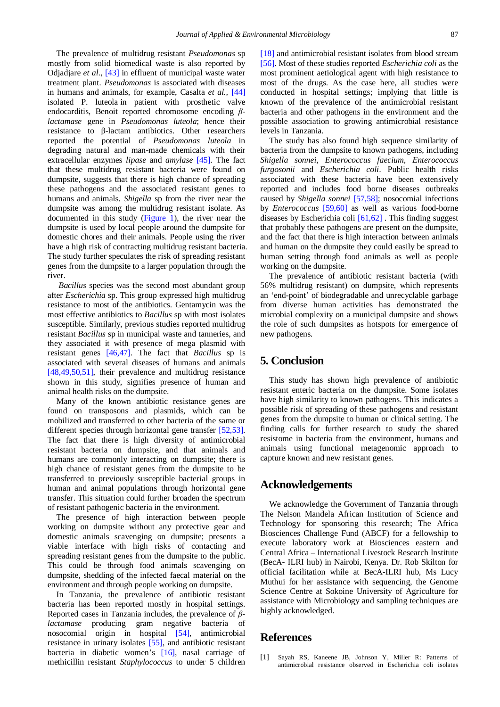The prevalence of multidrug resistant *Pseudomonas* sp mostly from solid biomedical waste is also reported by Odjadjare *et al*., [\[43\]](#page-7-0) in effluent of municipal waste water treatment plant. *Pseudomonas* is associated with diseases in humans and animals, for example, Casalta *et al.,* [\[44\]](#page-7-1) isolated P. luteola in patient with prosthetic valve endocarditis, Benoit reported chromosome encoding *βlactamase* gene in *Pseudomonas luteola*; hence their resistance to β-lactam antibiotics. Other researchers reported the potential of *Pseudomonas luteola* in degrading natural and man-made chemicals with their extracellular enzymes *lipase* and *amylase* [\[45\].](#page-7-2) The fact that these multidrug resistant bacteria were found on dumpsite, suggests that there is high chance of spreading these pathogens and the associated resistant genes to humans and animals. *Shigella* sp from the river near the dumpsite was among the multidrug resistant isolate. As documented in this study [\(Figure 1\)](#page-3-0), the river near the dumpsite is used by local people around the dumpsite for domestic chores and their animals. People using the river have a high risk of contracting multidrug resistant bacteria. The study further speculates the risk of spreading resistant genes from the dumpsite to a larger population through the river.

*Bacillus* species was the second most abundant group after *Escherichia* sp. This group expressed high multidrug resistance to most of the antibiotics. Gentamycin was the most effective antibiotics to *Bacillus* sp with most isolates susceptible. Similarly, previous studies reported multidrug resistant *Bacillus* sp in municipal waste and tanneries, and they associated it with presence of mega plasmid with resistant genes [\[46,47\].](#page-7-3) The fact that *Bacillus* sp is associated with several diseases of humans and animals [\[48,49,50,51\],](#page-7-4) their prevalence and multidrug resistance shown in this study, signifies presence of human and animal health risks on the dumpsite.

Many of the known antibiotic resistance genes are found on transposons and plasmids, which can be mobilized and transferred to other bacteria of the same or different species through horizontal gene transfer [\[52,53\].](#page-7-5) The fact that there is high diversity of antimicrobial resistant bacteria on dumpsite, and that animals and humans are commonly interacting on dumpsite; there is high chance of resistant genes from the dumpsite to be transferred to previously susceptible bacterial groups in human and animal populations through horizontal gene transfer. This situation could further broaden the spectrum of resistant pathogenic bacteria in the environment.

The presence of high interaction between people working on dumpsite without any protective gear and domestic animals scavenging on dumpsite; presents a viable interface with high risks of contacting and spreading resistant genes from the dumpsite to the public. This could be through food animals scavenging on dumpsite, shedding of the infected faecal material on the environment and through people working on dumpsite.

In Tanzania, the prevalence of antibiotic resistant bacteria has been reported mostly in hospital settings. Reported cases in Tanzania includes, the prevalence of *βlactamase* producing gram negative bacteria of nosocomial origin in hospital [\[54\],](#page-7-6) antimicrobial resistance in urinary isolates [\[55\],](#page-7-7) and antibiotic resistant bacteria in diabetic women's [\[16\],](#page-6-6) nasal carriage of methicillin resistant *Staphylococcus* to under 5 children

[\[18\]](#page-6-8) and antimicrobial resistant isolates from blood stream [\[56\].](#page-7-8) Most of these studies reported *Escherichia coli* as the most prominent aetiological agent with high resistance to most of the drugs. As the case here, all studies were conducted in hospital settings; implying that little is known of the prevalence of the antimicrobial resistant bacteria and other pathogens in the environment and the possible association to growing antimicrobial resistance levels in Tanzania.

The study has also found high sequence similarity of bacteria from the dumpsite to known pathogens, including *Shigella sonnei*, *Enterococcus faecium*, *Enterococcus furgosonii* and *Escherichia coli*. Public health risks associated with these bacteria have been extensively reported and includes food borne diseases outbreaks caused by *Shigella sonnei* [\[57,58\];](#page-7-9) nosocomial infections by *Enterococcus* [\[59,60\]](#page-7-10) as well as various food-borne diseases by Escherichia coli [\[61,62\]](#page-7-11) . This finding suggest that probably these pathogens are present on the dumpsite, and the fact that there is high interaction between animals and human on the dumpsite they could easily be spread to human setting through food animals as well as people working on the dumpsite.

The prevalence of antibiotic resistant bacteria (with 56% multidrug resistant) on dumpsite, which represents an 'end-point' of biodegradable and unrecyclable garbage from diverse human activities has demonstrated the microbial complexity on a municipal dumpsite and shows the role of such dumpsites as hotspots for emergence of new pathogens.

# **5. Conclusion**

This study has shown high prevalence of antibiotic resistant enteric bacteria on the dumpsite. Some isolates have high similarity to known pathogens. This indicates a possible risk of spreading of these pathogens and resistant genes from the dumpsite to human or clinical setting. The finding calls for further research to study the shared resistome in bacteria from the environment, humans and animals using functional metagenomic approach to capture known and new resistant genes.

#### **Acknowledgements**

We acknowledge the Government of Tanzania through The Nelson Mandela African Institution of Science and Technology for sponsoring this research; The Africa Biosciences Challenge Fund (ABCF) for a fellowship to execute laboratory work at Biosciences eastern and Central Africa – International Livestock Research Institute (BecA- ILRI hub) in Nairobi, Kenya. Dr. Rob Skilton for official facilitation while at BecA-ILRI hub, Ms Lucy Muthui for her assistance with sequencing, the Genome Science Centre at Sokoine University of Agriculture for assistance with Microbiology and sampling techniques are highly acknowledged.

## **References**

<span id="page-5-0"></span>[1] Sayah RS, Kaneene JB, Johnson Y, Miller R: Patterns of antimicrobial resistance observed in Escherichia coli isolates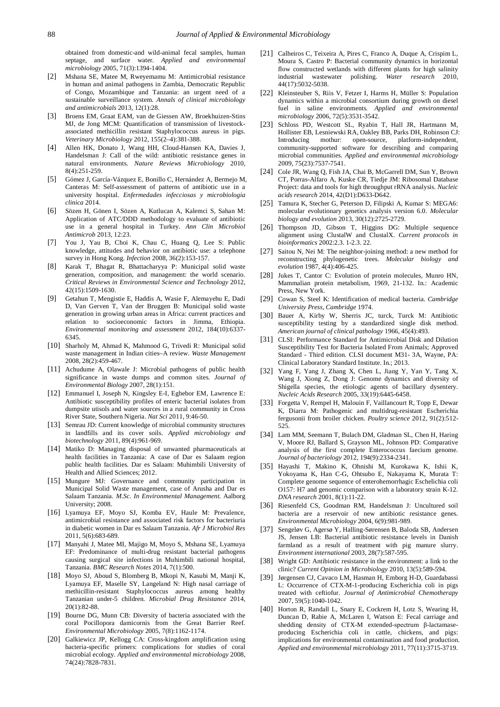obtained from domestic-and wild-animal fecal samples, human septage, and surface water. *Applied and environmental microbiology* 2005, 71(3):1394-1404.

- [2] Mshana SE, Matee M, Rweyemamu M: Antimicrobial resistance in human and animal pathogens in Zambia, Democratic Republic of Congo, Mozambique and Tanzania: an urgent need of a sustainable surveillance system. *Annals of clinical microbiology and antimicrobials* 2013, 12(1):28.
- [3] Broens EM, Graat EAM, van de Giessen AW, Broekhuizen-Stins MJ, de Jong MCM: Quantification of transmission of livestockassociated methicillin resistant Staphylococcus aureus in pigs. *Veterinary Microbiology* 2012, 155(2–4):381-388.
- <span id="page-6-0"></span>[4] Allen HK, Donato J, Wang HH, Cloud-Hansen KA, Davies J, Handelsman J: Call of the wild: antibiotic resistance genes in natural environments. *Nature Reviews Microbiology* 2010, 8(4):251-259.
- <span id="page-6-1"></span>[5] Gómez J, García-Vázquez E, Bonillo C, Hernández A, Bermejo M, Canteras M: Self-assessment of patterns of antibiotic use in a university hospital. *Enfermedades infecciosas y microbiologia clinica* 2014.
- [6] Sözen H, Gönen I, Sözen A, Kutlucan A, Kalemci S, Sahan M: Application of ATC/DDD methodology to evaluate of antibiotic use in a general hospital in Turkey. *Ann Clin Microbiol Antimicrob* 2013, 12:23.
- [7] You J, Yau B, Choi K, Chau C, Huang Q, Lee S: Public knowledge, attitudes and behavior on antibiotic use: a telephone survey in Hong Kong. *Infection* 2008, 36(2):153-157.
- <span id="page-6-2"></span>[8] Karak T, Bhagat R, Bhattacharyya P: Municipal solid waste generation, composition, and management: the world scenario. *Critical Reviews in Environmental Science and Technology* 2012, 42(15):1509-1630.
- [9] Getahun T, Mengistie E, Haddis A, Wasie F, Alemayehu E, Dadi D, Van Gerven T, Van der Bruggen B: Municipal solid waste generation in growing urban areas in Africa: current practices and relation to socioeconomic factors in Jimma, Ethiopia. *Environmental monitoring and assessment* 2012, 184(10):6337- 6345.
- [10] Sharholy M, Ahmad K, Mahmood G, Trivedi R: Municipal solid waste management in Indian cities–A review. *Waste Management*  2008, 28(2):459-467.
- <span id="page-6-3"></span>[11] Achudume A, Olawale J: Microbial pathogens of public health significance in waste dumps and common sites. *Journal of Environmental Biology* 2007, 28(1):151.
- <span id="page-6-4"></span>[12] Emmanuel I, Joseph N, Kingsley E-I, Egbebor EM, Lawrence E: Antibiotic susceptibility profiles of enteric bacterial isolates from dumpsite utisols and water sources in a rural community in Cross River State, Southern Nigeria. *Nat Sci* 2011, 9:46-50.
- [13] Semrau JD: Current knowledge of microbial community structures in landfills and its cover soils. *Applied microbiology and biotechnology* 2011, 89(4):961-969.
- <span id="page-6-5"></span>[14] Matiko D: Managing disposal of unwanted pharmaceuticals at health facilities in Tanzania: A case of Dar es Salaam region public health facilities. Dar es Salaam: Muhimbili University of Health and Allied Sciences; 2012.
- [15] Mungure MJ: Governance and community participation in Municipal Solid Waste management, case of Arusha and Dar es Salaam Tanzania. *M.Sc. In Environmental Management.* Aalborg University; 2008.
- <span id="page-6-6"></span>[16] Lyamuya EF, Moyo SJ, Komba EV, Haule M: Prevalence, antimicrobial resistance and associated risk factors for bacteriuria in diabetic women in Dar es Salaam Tanzania. *Afr J Microbiol Res*  2011, 5(6):683-689.
- <span id="page-6-7"></span>[17] Manyahi J, Matee MI, Majigo M, Moyo S, Mshana SE, Lyamuya EF: Predominance of multi-drug resistant bacterial pathogens causing surgical site infections in Muhimbili national hospital, Tanzania. *BMC Research Notes* 2014, 7(1):500.
- <span id="page-6-8"></span>[18] Moyo SJ, Aboud S, Blomberg B, Mkopi N, Kasubi M, Manji K, Lyamuya EF, Maselle SY, Langeland N: High nasal carriage of methicillin-resistant Staphylococcus aureus among healthy Tanzanian under-5 children. *Microbial Drug Resistance* 2014, 20(1):82-88.
- <span id="page-6-9"></span>[19] Bourne DG, Munn CB: Diversity of bacteria associated with the coral Pocillopora damicornis from the Great Barrier Reef. *Environmental Microbiology* 2005, 7(8):1162-1174.
- [20] Galkiewicz JP, Kellogg CA: Cross-kingdom amplification using bacteria-specific primers: complications for studies of coral microbial ecology. *Applied and environmental microbiology* 2008, 74(24):7828-7831.
- [21] Calheiros C, Teixeira A, Pires C, Franco A, Duque A, Crispim L, Moura S, Castro P: Bacterial community dynamics in horizontal flow constructed wetlands with different plants for high salinity industrial wastewater polishing. *Water research* 2010, 44(17):5032-5038.
- <span id="page-6-10"></span>[22] Kleinsteuber S, Riis V, Fetzer I, Harms H, Müller S: Population dynamics within a microbial consortium during growth on diesel fuel in saline environments. *Applied and environmental microbiology* 2006, 72(5):3531-3542.
- <span id="page-6-11"></span>[23] Schloss PD, Westcott SL, Ryabin T, Hall JR, Hartmann M, Hollister EB, Lesniewski RA, Oakley BB, Parks DH, Robinson CJ: Introducing mothur: open-source, platform-independent, community-supported software for describing and comparing microbial communities. *Applied and environmental microbiology*  2009, 75(23):7537-7541.
- <span id="page-6-12"></span>[24] Cole JR, Wang Q, Fish JA, Chai B, McGarrell DM, Sun Y, Brown CT, Porras-Alfaro A, Kuske CR, Tiedje JM: Ribosomal Database Project: data and tools for high throughput rRNA analysis. *Nucleic acids research* 2014, 42(D1):D633-D642.
- <span id="page-6-13"></span>[25] Tamura K, Stecher G, Peterson D, Filipski A, Kumar S: MEGA6: molecular evolutionary genetics analysis version 6.0. *Molecular biology and evolution* 2013, 30(12):2725-2729.
- <span id="page-6-14"></span>[26] Thompson JD, Gibson T, Higgins DG: Multiple sequence alignment using ClustalW and ClustalX. *Current protocols in bioinformatics* 2002:2.3. 1-2.3. 22.
- <span id="page-6-15"></span>[27] Saitou N, Nei M: The neighbor-joining method: a new method for reconstructing phylogenetic trees. *Molecular biology and evolution* 1987, 4(4):406-425.
- <span id="page-6-16"></span>[28] Jukes T, Cantor C: Evolution of protein molecules, Munro HN, Mammalian protein metabolism, 1969, 21-132. In*.*: Academic Press, New York.
- <span id="page-6-17"></span>[29] Cowan S, Steel K: Identification of medical bacteria. *Cambridge University Press, Cambridge* 1974.
- <span id="page-6-18"></span>[30] Bauer A, Kirby W, Sherris JC, turck, Turck M: Antibiotic susceptibility testing by a standardized single disk method. *American journal of clinical pathology* 1966, 45(4):493.
- <span id="page-6-19"></span>[31] CLSI: Performance Standard for Antimicrobial Disk and Dilution Susceptibility Test for Bacteria Isolated From Animals; Approved Standard - Third edition. CLSI document M31- 3A, Wayne, PA: Clinical Laboratory Standard Institute. In*.*; 2013.
- <span id="page-6-20"></span>[32] Yang F, Yang J, Zhang X, Chen L, Jiang Y, Yan Y, Tang X, Wang J, Xiong Z, Dong J: Genome dynamics and diversity of Shigella species, the etiologic agents of bacillary dysentery. *Nucleic Acids Research* 2005, 33(19):6445-6458.
- <span id="page-6-21"></span>[33] Forgetta V, Rempel H, Malouin F, Vaillancourt R, Topp E, Dewar K, Diarra M: Pathogenic and multidrug-resistant Escherichia fergusonii from broiler chicken. *Poultry science* 2012, 91(2):512- 525.
- <span id="page-6-22"></span>[34] Lam MM, Seemann T, Bulach DM, Gladman SL, Chen H, Haring V, Moore RJ, Ballard S, Grayson ML, Johnson PD: Comparative analysis of the first complete Enterococcus faecium genome. *Journal of bacteriology* 2012, 194(9):2334-2341.
- <span id="page-6-23"></span>[35] Hayashi T, Makino K, Ohnishi M, Kurokawa K, Ishii K, Yokoyama K, Han C-G, Ohtsubo E, Nakayama K, Murata T: Complete genome sequence of enterohemorrhagic Eschelichia coli O157: H7 and genomic comparison with a laboratory strain K-12. *DNA research* 2001, 8(1):11-22.
- <span id="page-6-24"></span>[36] Riesenfeld CS, Goodman RM, Handelsman J: Uncultured soil bacteria are a reservoir of new antibiotic resistance genes. *Environmental Microbiology* 2004, 6(9):981-989.
- [37] Sengeløv G, Agersø Y, Halling-Sørensen B, Baloda SB, Andersen JS, Jensen LB: Bacterial antibiotic resistance levels in Danish farmland as a result of treatment with pig manure slurry. *Environment international* 2003, 28(7):587-595.
- [38] Wright GD: Antibiotic resistance in the environment: a link to the clinic? *Current Opinion in Microbiology* 2010, 13(5):589-594.
- <span id="page-6-25"></span>[39] Jørgensen CJ, Cavaco LM, Hasman H, Emborg H-D, Guardabassi L: Occurrence of CTX-M-1-producing Escherichia coli in pigs treated with ceftiofur. *Journal of Antimicrobial Chemotherapy*  2007, 59(5):1040-1042.
- <span id="page-6-26"></span>[40] Horton R, Randall L, Snary E, Cockrem H, Lotz S, Wearing H, Duncan D, Rabie A, McLaren I, Watson E: Fecal carriage and shedding density of CTX-M extended-spectrum β-lactamaseproducing Escherichia coli in cattle, chickens, and pigs: implications for environmental contamination and food production. *Applied and environmental microbiology* 2011, 77(11):3715-3719.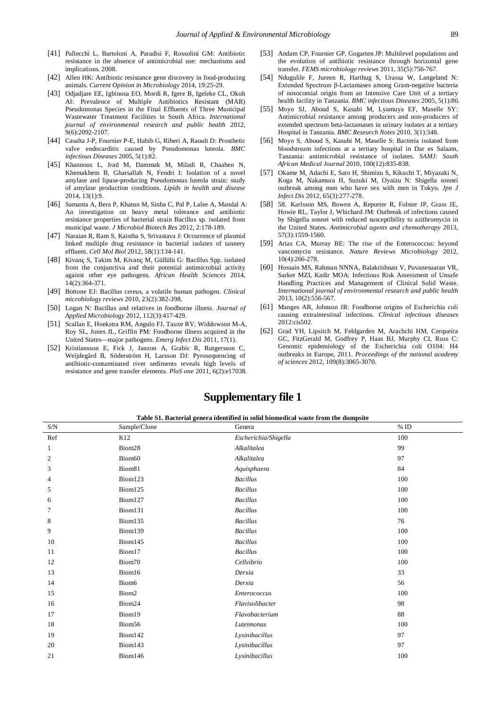- [41] Pallecchi L, Bartoloni A, Paradisi F, Rossolini GM: Antibiotic resistance in the absence of antimicrobial use: mechanisms and implications. 2008.
- [42] Allen HK: Antibiotic resistance gene discovery in food-producing animals. *Current Opinion in Microbiology* 2014, 19:25-29.
- <span id="page-7-0"></span>[43] Odjadjare EE, Igbinosa EO, Mordi R, Igere B, Igeleke CL, Okoh AI: Prevalence of Multiple Antibiotics Resistant (MAR) Pseudomonas Species in the Final Effluents of Three Municipal Wastewater Treatment Facilities in South Africa. *International journal of environmental research and public health* 2012, 9(6):2092-2107.
- <span id="page-7-1"></span>[44] Casalta J-P, Fournier P-E, Habib G, Riberi A, Raoult D: Prosthetic valve endocarditis caused by Pseudomonas luteola. *BMC infectious Diseases* 2005, 5(1):82.
- <span id="page-7-2"></span>[45] Khannous L, Jrad M, Dammak M, Miladi R, Chaaben N, Khemakhem B, Gharsallah N, Fendri I: Isolation of a novel amylase and lipase-producing Pseudomonas luteola strain: study of amylase production conditions. *Lipids in health and disease*  2014, 13(1):9.
- <span id="page-7-3"></span>[46] Samanta A, Bera P, Khatun M, Sinha C, Pal P, Lalee A, Mandal A: An investigation on heavy metal tolerance and antibiotic resistance properties of bacterial strain Bacillus sp. isolated from municipal waste. *J Microbiol Biotech Res* 2012, 2:178-189.
- [47] Naraian R, Ram S, Kaistha S, Srivastava J: Occurrence of plasmid linked multiple drug resistance in bacterial isolates of tannery effluent. *Cell Mol Biol* 2012, 58(1):134-141.
- <span id="page-7-4"></span>[48] Kivanç S, Takim M, Kivanç M, Güllülü G: Bacillus Spp. isolated from the conjunctiva and their potential antimicrobial activity against other eye pathogens. *African Health Sciences* 2014, 14(2):364-371.
- [49] Bottone EJ: Bacillus cereus, a volatile human pathogen. *Clinical microbiology reviews* 2010, 23(2):382-398.
- [50] Logan N: Bacillus and relatives in foodborne illness. *Journal of Applied Microbiology* 2012, 112(3):417-429.
- [51] Scallan E, Hoekstra RM, Angulo FJ, Tauxe RV, Widdowson M-A, Roy SL, Jones JL, Griffin PM: Foodborne illness acquired in the United States—major pathogens. *Emerg Infect Dis* 2011, 17(1).
- <span id="page-7-5"></span>[52] Kristiansson E, Fick J, Janzon A, Grabic R, Rutgersson C, Weijdegård B, Söderström H, Larsson DJ: Pyrosequencing of antibiotic-contaminated river sediments reveals high levels of resistance and gene transfer elements. *PloS one* 2011, 6(2):e17038.
- [53] Andam CP, Fournier GP, Gogarten JP: Multilevel populations and the evolution of antibiotic resistance through horizontal gene transfer. *FEMS microbiology reviews* 2011, 35(5):756-767.
- <span id="page-7-6"></span>[54] Ndugulile F, Jureen R, Harthug S, Urassa W, Langeland N: Extended Spectrum β-Lactamases among Gram-negative bacteria of nosocomial origin from an Intensive Care Unit of a tertiary health facility in Tanzania. *BMC infectious Diseases* 2005, 5(1):86.
- <span id="page-7-7"></span>[55] Moyo SJ, Aboud S, Kasubi M, Lyamuya EF, Maselle SY: Antimicrobial resistance among producers and non-producers of extended spectrum beta-lactamases in urinary isolates at a tertiary Hospital in Tanzania. *BMC Research Notes* 2010, 3(1):348.
- <span id="page-7-8"></span>[56] Moyo S, Aboud S, Kasubi M, Maselle S: Bacteria isolated from bloodstream infections at a tertiary hospital in Dar es Salaam, Tanzania: antimicrobial resistance of isolates. *SAMJ: South African Medical Journal* 2010, 100(12):835-838.
- <span id="page-7-9"></span>[57] Okame M, Adachi E, Sato H, Shimizu S, Kikuchi T, Miyazaki N, Koga M, Nakamura H, Suzuki M, Oyaizu N: Shigella sonnei outbreak among men who have sex with men in Tokyo. *Jpn J Infect Dis* 2012, 65(3):277-278.
- [58] 58. Karlsson MS, Bowen A, Reporter R, Folster JP, Grass JE, Howie RL, Taylor J, Whichard JM: Outbreak of infections caused by Shigella sonnei with reduced susceptibility to azithromycin in the United States. *Antimicrobial agents and chemotherapy* 2013, 57(3):1559-1560.
- <span id="page-7-10"></span>[59] Arias CA, Murray BE: The rise of the Enterococcus: beyond vancomycin resistance. *Nature Reviews Microbiology* 2012, 10(4):266-278.
- [60] Hossain MS, Rahman NNNA, Balakrishnan V, Puvanesuaran VR, Sarker MZI, Kadir MOA: Infectious Risk Assessment of Unsafe Handling Practices and Management of Clinical Solid Waste. *International journal of environmental research and public health*  2013, 10(2):556-567.
- <span id="page-7-11"></span>[61] Manges AR, Johnson JR: Foodborne origins of Escherichia coli causing extraintestinal infections. *Clinical infectious diseases*  2012:cis502.
- [62] Grad YH, Lipsitch M, Feldgarden M, Arachchi HM, Cerqueira GC, FitzGerald M, Godfrey P, Haas BJ, Murphy CI, Russ C: Genomic epidemiology of the Escherichia coli O104: H4 outbreaks in Europe, 2011. *Proceedings of the national academy of sciences* 2012, 109(8):3065-3070.

# **Supplementary file 1**

**Table S1. Bacterial genera identified in solid biomedical waste from the dumpsite**

| S/N          | Sample/Clone      | Genera               | $\%$ ID |
|--------------|-------------------|----------------------|---------|
| Ref          | K12               | Escherichia/Shigella | 100     |
| $\mathbf{1}$ | Biom28            | Alkalitalea          | 99      |
| 2            | Biom60            | Alkalitalea          | 97      |
| 3            | Biom81            | Aquisphaera          | 84      |
| 4            | Biom123           | <b>Bacillus</b>      | 100     |
| 5            | Biom125           | <b>Bacillus</b>      | 100     |
| 6            | Biom127           | <b>Bacillus</b>      | 100     |
| 7            | Biom131           | <b>Bacillus</b>      | 100     |
| 8            | Biom135           | <b>Bacillus</b>      | 76      |
| 9            | Biom139           | <b>Bacillus</b>      | 100     |
| 10           | Biom145           | <b>Bacillus</b>      | 100     |
| 11           | Biom17            | <b>Bacillus</b>      | 100     |
| 12           | Biom70            | Cellvibrio           | 100     |
| 13           | Biom16            | Derxia               | 33      |
| 14           | Biom <sub>6</sub> | Derxia               | 56      |
| 15           | Biom2             | Enterococcus         | 100     |
| 16           | Biom24            | Flavisolibacter      | 98      |
| 17           | Biom19            | Flavobacterium       | 88      |
| 18           | Biom56            | Luteimonas           | 100     |
| 19           | Biom142           | Lysinibacillus       | 97      |
| 20           | Biom143           | Lysinibacillus       | 97      |
| 21           | Biom146           | Lysinibacillus       | 100     |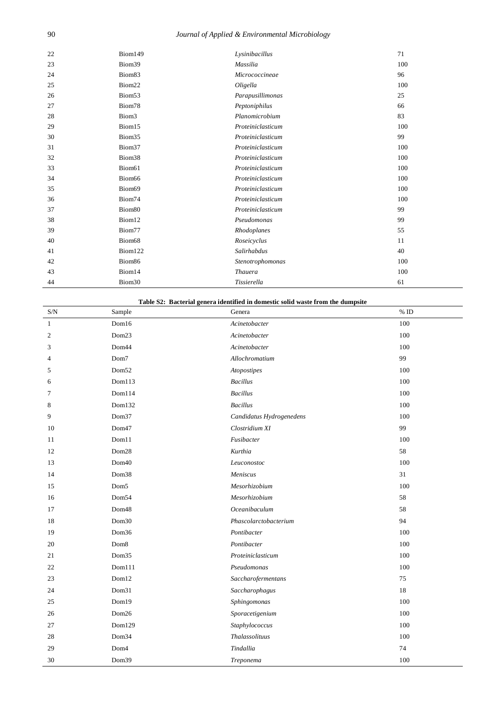## *Journal of Applied & Environmental Microbiology*

| 22 | Biom149            | Lysinibacillus    | 71  |
|----|--------------------|-------------------|-----|
| 23 | Biom39             | Massilia          | 100 |
| 24 | Biom83             | Micrococcineae    | 96  |
| 25 | Biom22             | Oligella          | 100 |
| 26 | Biom53             | Parapusillimonas  | 25  |
| 27 | Biom78             | Peptoniphilus     | 66  |
| 28 | Biom <sub>3</sub>  | Planomicrobium    | 83  |
| 29 | Biom15             | Proteiniclasticum | 100 |
| 30 | Biom35             | Proteiniclasticum | 99  |
| 31 | Biom37             | Proteiniclasticum | 100 |
| 32 | Biom38             | Proteiniclasticum | 100 |
| 33 | Biom61             | Proteiniclasticum | 100 |
| 34 | Biom66             | Proteiniclasticum | 100 |
| 35 | Biom69             | Proteiniclasticum | 100 |
| 36 | Biom74             | Proteiniclasticum | 100 |
| 37 | Biom <sub>80</sub> | Proteiniclasticum | 99  |
| 38 | Biom12             | Pseudomonas       | 99  |
| 39 | Biom77             | Rhodoplanes       | 55  |
| 40 | Biom68             | Roseicyclus       | 11  |
| 41 | Biom122            | Salirhabdus       | 40  |
| 42 | Biom86             | Stenotrophomonas  | 100 |
| 43 | Biom14             | <b>Thauera</b>    | 100 |
| 44 | Biom30             | Tissierella       | 61  |

|  | Table S2: Bacterial genera identified in domestic solid waste from the dumpsite |  |
|--|---------------------------------------------------------------------------------|--|
|--|---------------------------------------------------------------------------------|--|

| $\ensuremath{\mathrm{S/N}}$ | Sample            | Genera                   | $%$ ID |
|-----------------------------|-------------------|--------------------------|--------|
| $\mathbf{1}$                | Dom16             | Acinetobacter            | 100    |
| $\boldsymbol{2}$            | Dom23             | Acinetobacter            | 100    |
| 3                           | Dom44             | Acinetobacter            | 100    |
| 4                           | Dom7              | Allochromatium           | 99     |
| 5                           | Dom <sub>52</sub> | Atopostipes              | 100    |
| 6                           | Dom113            | <b>Bacillus</b>          | 100    |
| 7                           | Dom114            | <b>Bacillus</b>          | 100    |
| 8                           | Dom132            | <b>Bacillus</b>          | 100    |
| 9                           | Dom37             | Candidatus Hydrogenedens | 100    |
| 10                          | Dom47             | Clostridium XI           | 99     |
| 11                          | Dom11             | Fusibacter               | 100    |
| 12                          | Dom28             | Kurthia                  | 58     |
| 13                          | Dom40             | Leuconostoc              | 100    |
| 14                          | Dom38             | Meniscus                 | 31     |
| 15                          | Dom <sub>5</sub>  | Mesorhizobium            | 100    |
| 16                          | Dom54             | Mesorhizobium            | 58     |
| 17                          | Dom <sub>48</sub> | Oceanibaculum            | 58     |
| 18                          | Dom30             | Phascolarctobacterium    | 94     |
| 19                          | Dom36             | Pontibacter              | 100    |
| 20                          | Dom8              | Pontibacter              | 100    |
| 21                          | Dom35             | Proteiniclasticum        | 100    |
| 22                          | Dom111            | Pseudomonas              | 100    |
| 23                          | Dom12             | Saccharofermentans       | 75     |
| 24                          | Dom31             | Saccharophagus           | 18     |
| 25                          | Dom19             | Sphingomonas             | 100    |
| 26                          | Dom26             | Sporacetigenium          | 100    |
| 27                          | Dom129            | Staphylococcus           | 100    |
| 28                          | Dom34             | <b>Thalassolituus</b>    | 100    |
| 29                          | Dom <sub>4</sub>  | Tindallia                | 74     |
| 30                          | Dom39             | Treponema                | 100    |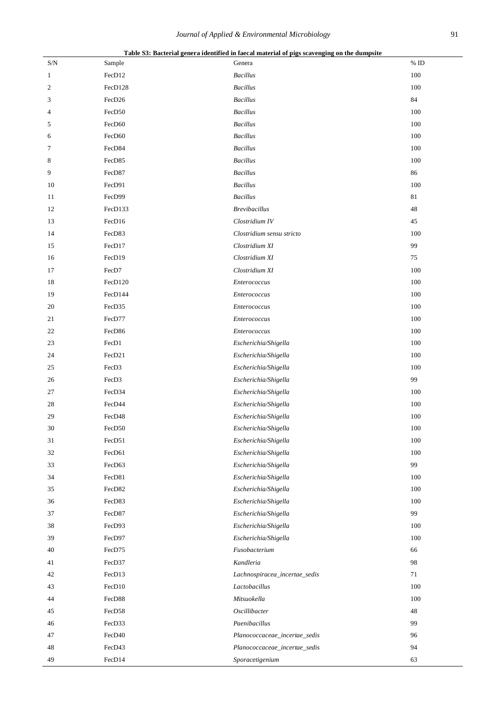|     |         | Table 55; Dacterial genera fuentified in factal material of pigs scavenging on the dumpsite |         |
|-----|---------|---------------------------------------------------------------------------------------------|---------|
| S/N | Sample  | Genera                                                                                      | $\%$ ID |
| 1   | FecD12  | <b>Bacillus</b>                                                                             | 100     |
| 2   | FecD128 | <b>Bacillus</b>                                                                             | 100     |
| 3   | FecD26  | <b>Bacillus</b>                                                                             | 84      |
| 4   | FecD50  | <b>Bacillus</b>                                                                             | 100     |
| 5   | FecD60  | <b>Bacillus</b>                                                                             | 100     |
| 6   | FecD60  | <b>Bacillus</b>                                                                             | 100     |
| 7   | FecD84  | <b>Bacillus</b>                                                                             | 100     |
| 8   | FecD85  | <b>Bacillus</b>                                                                             | 100     |
| 9   | FecD87  | <b>Bacillus</b>                                                                             | 86      |
| 10  | FecD91  | <b>Bacillus</b>                                                                             | 100     |
| 11  | FecD99  | <b>Bacillus</b>                                                                             | 81      |
| 12  | FecD133 | <b>Brevibacillus</b>                                                                        | 48      |
| 13  | FecD16  | Clostridium IV                                                                              | 45      |
| 14  | FecD83  | Clostridium sensu stricto                                                                   | 100     |
| 15  | FecD17  | Clostridium XI                                                                              | 99      |
| 16  | FecD19  | Clostridium XI                                                                              | 75      |
| 17  | FecD7   | Clostridium XI                                                                              | 100     |
| 18  | FecD120 | Enterococcus                                                                                | 100     |
| 19  | FecD144 | Enterococcus                                                                                | 100     |
| 20  | FecD35  | Enterococcus                                                                                | 100     |
| 21  | FecD77  | Enterococcus                                                                                | 100     |
| 22  | FecD86  | <b>Enterococcus</b>                                                                         | 100     |
| 23  | FecD1   | Escherichia/Shigella                                                                        | 100     |
| 24  | FecD21  | Escherichia/Shigella                                                                        | 100     |
| 25  | FecD3   | Escherichia/Shigella                                                                        | 100     |
| 26  | FecD3   | Escherichia/Shigella                                                                        | 99      |
| 27  | FecD34  | Escherichia/Shigella                                                                        | 100     |
| 28  | FecD44  | Escherichia/Shigella                                                                        | 100     |
| 29  | FecD48  | Escherichia/Shigella                                                                        | 100     |
| 30  | FecD50  | Escherichia/Shigella                                                                        | 100     |
| 31  | FecD51  | Escherichia/Shigella                                                                        | 100     |
| 32  | FecD61  | Escherichia/Shigella                                                                        | 100     |
| 33  | FecD63  | Escherichia/Shigella                                                                        | 99      |
| 34  | FecD81  | Escherichia/Shigella                                                                        | 100     |
| 35  | FecD82  | Escherichia/Shigella                                                                        | 100     |
| 36  | FecD83  | Escherichia/Shigella                                                                        | 100     |
| 37  | FecD87  | Escherichia/Shigella                                                                        | 99      |
| 38  | FecD93  | Escherichia/Shigella                                                                        | 100     |
| 39  | FecD97  | Escherichia/Shigella                                                                        | 100     |
| 40  | FecD75  | Fusobacterium                                                                               | 66      |
| 41  | FecD37  | Kandleria                                                                                   | 98      |
| 42  | FecD13  | Lachnospiracea_incertae_sedis                                                               | 71      |
| 43  | FecD10  | Lactobacillus                                                                               | 100     |
| 44  | FecD88  | Mitsuokella                                                                                 | 100     |
| 45  | FecD58  | Oscillibacter                                                                               | 48      |
|     | FecD33  | Paenibacillus                                                                               | 99      |
| 46  | FecD40  |                                                                                             | 96      |
| 47  |         | Planococcaceae_incertae_sedis                                                               |         |
| 48  | FecD43  | Planococcaceae_incertae_sedis                                                               | 94      |
| 49  | FecD14  | Sporacetigenium                                                                             | 63      |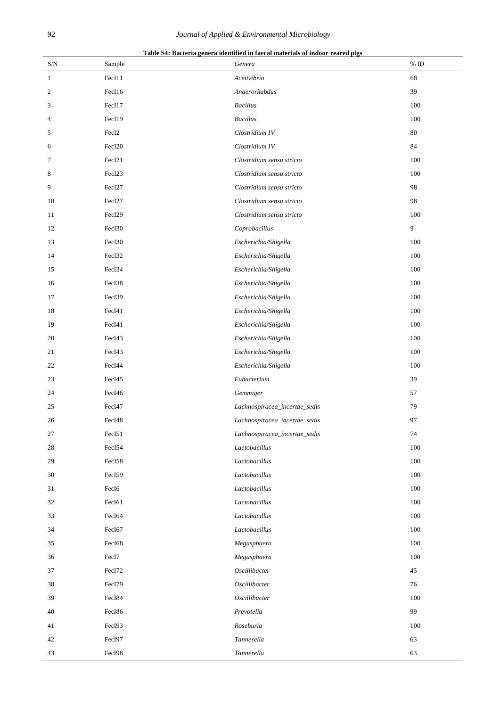|  | Table S4: Bacteria genera identified in faecal materials of indoor reared pigs |  |  |
|--|--------------------------------------------------------------------------------|--|--|
|  |                                                                                |  |  |

| $\ensuremath{\mathrm{S/N}}$ | Sample            | Genera                        | $\%$ ID |
|-----------------------------|-------------------|-------------------------------|---------|
| $\mathbf{1}$                | FecI11            | Acetivibrio                   | 68      |
| $\boldsymbol{2}$            | FecI16            | Anaerorhabdus                 | 39      |
| 3                           | FecI17            | $\label{eq:3} Bacillus$       | 100     |
| 4                           | FecI19            | <b>Bacillus</b>               | 100     |
| 5                           | Fec <sub>I2</sub> | Clostridium IV                | 80      |
| 6                           | FecI20            | Clostridium IV                | 84      |
| 7                           | FecI21            | Clostridium sensu stricto     | 100     |
| 8                           | FecI23            | Clostridium sensu stricto     | 100     |
| 9                           | FecI27            | Clostridium sensu stricto     | 98      |
| 10                          | FecI27            | Clostridium sensu stricto     | 98      |
| 11                          | FecI29            | Clostridium sensu stricto     | 100     |
| 12                          | FecI30            | Coprobacillus                 | 9       |
| 13                          | FecI30            | Escherichia/Shigella          | 100     |
| 14                          | FecI32            | Escherichia/Shigella          | 100     |
| 15                          | FecI34            | Escherichia/Shigella          | 100     |
| 16                          | FecI38            | Escherichia/Shigella          | 100     |
| 17                          | FecI39            | Escherichia/Shigella          | 100     |
| 18                          | FecI41            | Escherichia/Shigella          | 100     |
| 19                          | FecI41            | Escherichia/Shigella          | 100     |
| 20                          | FecI43            | Escherichia/Shigella          | 100     |
| 21                          | FecI43            | Escherichia/Shigella          | 100     |
| 22                          | FecI44            | Escherichia/Shigella          | 100     |
| 23                          | FecI45            | Eubacterium                   | 39      |
| 24                          | FecI46            | Gemmiger                      | 57      |
| 25                          | FecI47            | Lachnospiracea_incertae_sedis | 79      |
| 26                          | FecI48            | Lachnospiracea_incertae_sedis | 97      |
| 27                          | FecI51            | Lachnospiracea_incertae_sedis | 74      |
| $28\,$                      | FecI54            | Lactobacillus                 | 100     |
| 29                          | FecI58            | Lactobacillus                 | 100     |
| $30\,$                      | FecI59            | Lactobacillus                 | 100     |
| 31                          | Fec <sub>I6</sub> | Lactobacillus                 | 100     |
| 32                          | FecI61            | Lactobacillus                 | 100     |
| 33                          | FecI64            | Lactobacillus                 | 100     |
| 34                          | FecI67            | Lactobacillus                 | 100     |
| 35                          | FecI68            | Megasphaera                   | 100     |
| 36                          | FecI7             | Megasphaera                   | 100     |
| 37                          | FecI72            | Oscillibacter                 | 45      |
| 38                          | FecI79            | Oscillibacter                 | 76      |
| 39                          | FecI84            | Oscillibacter                 | 100     |
| 40                          | FecI86            | Prevotella                    | 99      |
| 41                          | FecI93            | Roseburia                     | 100     |
| 42                          | FecI97            | Tannerella                    | 63      |
| 43                          | FecI98            | Tannerella                    | 63      |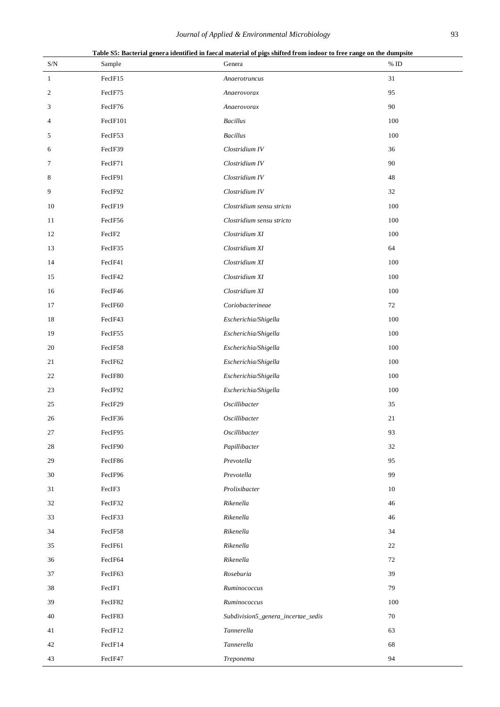| $\ensuremath{\mathrm{S/N}}$ | Sample          | Table S5: Bacterial genera identified in faecal material of pigs shifted from indoor to free range on the dumpsite<br>Genera | $\%$ ID |
|-----------------------------|-----------------|------------------------------------------------------------------------------------------------------------------------------|---------|
| $\mathbf{1}$                | FecIF15         | Anaerotruncus                                                                                                                | 31      |
| $\overline{c}$              | FecIF75         | Anaerovorax                                                                                                                  | 95      |
| 3                           | FecIF76         | Anaerovorax                                                                                                                  | 90      |
| 4                           | FecIF101        | <b>Bacillus</b>                                                                                                              | 100     |
| 5                           | FecIF53         | <b>Bacillus</b>                                                                                                              | 100     |
| 6                           | FecIF39         | Clostridium IV                                                                                                               | 36      |
| 7                           | FecIF71         | Clostridium IV                                                                                                               | 90      |
| 8                           | FecIF91         | Clostridium IV                                                                                                               | 48      |
| 9                           | FecIF92         | Clostridium IV                                                                                                               | 32      |
| 10                          | FecIF19         | Clostridium sensu stricto                                                                                                    | 100     |
| 11                          | FecIF56         | Clostridium sensu stricto                                                                                                    | 100     |
| 12                          | FecIF2          | Clostridium XI                                                                                                               | 100     |
| 13                          | FecIF35         | Clostridium XI                                                                                                               | 64      |
| 14                          | FecIF41         | Clostridium XI                                                                                                               | 100     |
| 15                          | FecIF42         | Clostridium XI                                                                                                               | 100     |
| 16                          | FecIF46         | Clostridium XI                                                                                                               | 100     |
| 17                          | FecIF60         | Coriobacterineae                                                                                                             | $72\,$  |
| 18                          | FecIF43         | Escherichia/Shigella                                                                                                         | 100     |
| 19                          | FecIF55         | Escherichia/Shigella                                                                                                         | 100     |
| 20                          | FecIF58         | Escherichia/Shigella                                                                                                         | 100     |
| 21                          | FecIF62         | Escherichia/Shigella                                                                                                         | 100     |
| 22                          | FecIF80         | Escherichia/Shigella                                                                                                         | 100     |
| 23                          | FecIF92         | Escherichia/Shigella                                                                                                         | 100     |
| 25                          | FecIF29         | Oscillibacter                                                                                                                | 35      |
| $26\,$                      | ${\rm Fe}$ IF36 | Oscillibacter                                                                                                                | $21\,$  |
| 27                          | FecIF95         | Oscillibacter                                                                                                                | 93      |
| 28                          | FecIF90         | Papillibacter                                                                                                                | 32      |
| 29                          | FecIF86         | Prevotella                                                                                                                   | 95      |
| 30                          | FecIF96         | Prevotella                                                                                                                   | 99      |
| 31                          | FecIF3          | Prolixibacter                                                                                                                | 10      |
| 32                          | FecIF32         | Rikenella                                                                                                                    | 46      |
| 33                          | FecIF33         | Rikenella                                                                                                                    | 46      |
| 34                          | FecIF58         | Rikenella                                                                                                                    | 34      |
| 35                          | FecIF61         | Rikenella                                                                                                                    | 22      |
| 36                          | FecIF64         | Rikenella                                                                                                                    | 72      |
| 37                          | FecIF63         | Roseburia                                                                                                                    | 39      |
| 38                          | FecIF1          | Ruminococcus                                                                                                                 | 79      |
| 39                          | FecIF82         | Ruminococcus                                                                                                                 | 100     |
| 40                          | FecIF83         | Subdivision5_genera_incertae_sedis                                                                                           | 70      |
| 41                          | FecIF12         | Tannerella                                                                                                                   | 63      |
| 42                          | FecIF14         | Tannerella                                                                                                                   | 68      |
| 43                          | FecIF47         | Treponema                                                                                                                    | 94      |